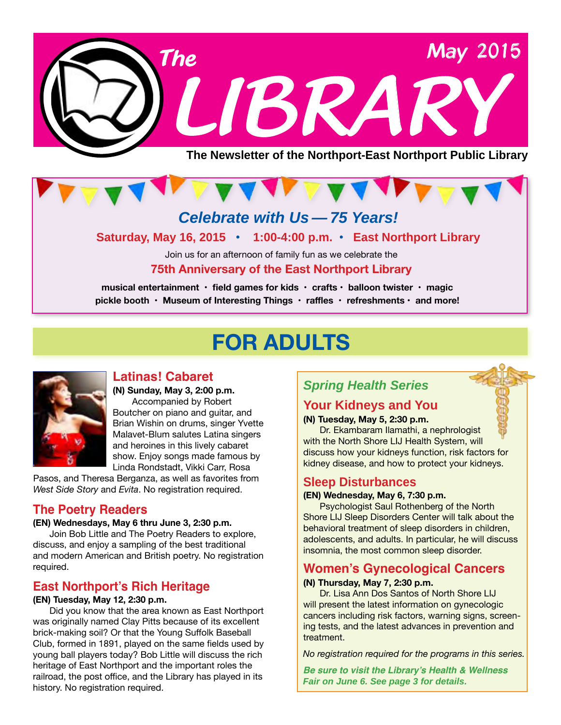



**Saturday, May 16, 2015 • 1:00-4:00 p.m. • East Northport Library**

Join us for an afternoon of family fun as we celebrate the **75th Anniversary of the East Northport Library**

**musical entertainment • field games for kids • crafts • balloon twister • magic pickle booth • Museum of Interesting Things • raffles • refreshments • and more!**

### **FOR ADULTS**



#### **Latinas! Cabaret**

**(N) Sunday, May 3, 2:00 p.m.** Accompanied by Robert Boutcher on piano and guitar, and Brian Wishin on drums, singer Yvette Malavet-Blum salutes Latina singers and heroines in this lively cabaret show. Enjoy songs made famous by Linda Rondstadt, Vikki Carr, Rosa

Pasos, and Theresa Berganza, as well as favorites from *West Side Story* and *Evita*. No registration required.

#### **The Poetry Readers**

#### **(EN) Wednesdays, May 6 thru June 3, 2:30 p.m.**

Join Bob Little and The Poetry Readers to explore, discuss, and enjoy a sampling of the best traditional and modern American and British poetry. No registration required.

#### **East Northport's Rich Heritage**

#### **(EN) Tuesday, May 12, 2:30 p.m.**

Did you know that the area known as East Northport was originally named Clay Pitts because of its excellent brick-making soil? Or that the Young Suffolk Baseball Club, formed in 1891, played on the same fields used by young ball players today? Bob Little will discuss the rich heritage of East Northport and the important roles the railroad, the post office, and the Library has played in its history. No registration required.

#### *Spring Health Series*

#### **Your Kidneys and You**

**(N) Tuesday, May 5, 2:30 p.m.** Dr. Ekambaram Ilamathi, a nephrologist with the North Shore LIJ Health System, will discuss how your kidneys function, risk factors for kidney disease, and how to protect your kidneys.

#### **Sleep Disturbances**

#### **(EN) Wednesday, May 6, 7:30 p.m.**

Psychologist Saul Rothenberg of the North Shore LIJ Sleep Disorders Center will talk about the behavioral treatment of sleep disorders in children, adolescents, and adults. In particular, he will discuss insomnia, the most common sleep disorder.

#### **Women's Gynecological Cancers**

#### **(N) Thursday, May 7, 2:30 p.m.**

Dr. Lisa Ann Dos Santos of North Shore LIJ will present the latest information on gynecologic cancers including risk factors, warning signs, screening tests, and the latest advances in prevention and treatment.

*No registration required for the programs in this series.*

**Be sure to visit the Library's Health & Wellness**  *Fair on June 6. See page 3 for details.*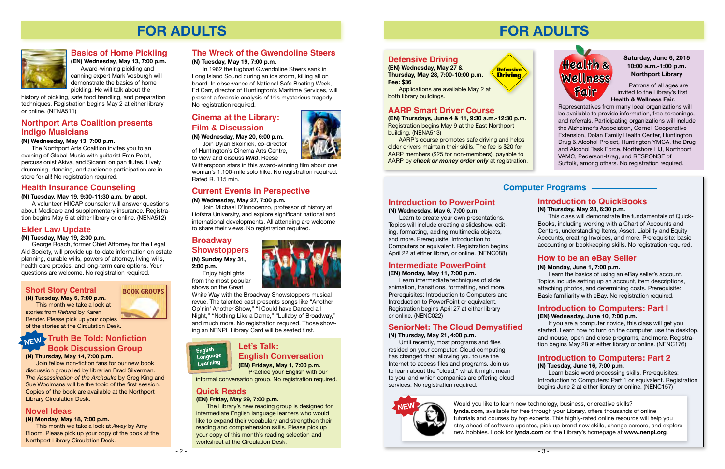### **FOR ADULTS**

 Patrons of all ages are invited to the Library's first **Health & Wellness Fair**.

Representatives from many local organizations will be available to provide information, free screenings, and referrals. Participating organizations will include the Alzheimer's Association, Cornell Cooperative Extension, Dolan Family Health Center, Huntington Drug & Alcohol Project, Huntington YMCA, the Drug and Alcohol Task Force, Northshore LIJ, Northport VAMC, Pederson-Krag, and RESPONSE of Suffolk, among others. No registration required.



#### **Computer Programs**

#### **Introduction to PowerPoint**

**(N) Wednesday, May 6, 7:00 p.m.**

Learn to create your own presentations. Topics will include creating a slideshow, editing, formatting, adding multimedia objects, and more. Prerequisite: Introduction to Computers or equivalent. Registration begins April 22 at either library or online. ([NENC088](http://alpha2.suffolk.lib.ny.us/search/?searchtype=X&SORT=D&searcharg=nenc088&searchscope=43))

#### **Intermediate PowerPoint**

#### **(EN) Monday, May 11, 7:00 p.m.**

Learn intermediate techniques of slide animation, transitions, formatting, and more. Prerequisites: Introduction to Computers and Introduction to PowerPoint or equivalent. Registration begins April 27 at either library or online. ([NENC022](http://alpha2.suffolk.lib.ny.us/search/?searchtype=X&SORT=D&searcharg=nenc022&searchscope=43))

#### **SeniorNet: The Cloud Demystified**

**(N) Thursday, May 21, 4:00 p.m.**

Until recently, most programs and files resided on your computer. Cloud computing has changed that, allowing you to use the Internet to access files and programs. Join us to learn about the "cloud," what it might mean to you, and which companies are offering cloud services. No registration required.

#### **Introduction to Computers: Part 2**

#### **(N) Tuesday, June 16, 7:00 p.m.**

Learn basic word processing skills. Prerequisites: Introduction to Computers: Part 1 or equivalent. Registration begins June 2 at either library or online. [\(NENC157\)](http://alpha2.suffolk.lib.ny.us/search/?searchtype=X&SORT=D&searcharg=nenc157&searchscope=43)

#### **Introduction to Computers: Part I**

#### **(EN) Wednesday, June 10, 7:00 p.m.**

If you are a computer novice, this class will get you started. Learn how to turn on the computer, use the desktop, and mouse, open and close programs, and more. Registration begins May 28 at either library or online. ([NENC176](http://alpha2.suffolk.lib.ny.us/search/?searchtype=X&SORT=D&searcharg=nenc176&searchscope=43))

#### **How to be an eBay Seller**

#### **(N) Monday, June 1, 7:00 p.m.**

Learn the basics of using an eBay seller's account. Topics include setting up an account, item descriptions, attaching photos, and determining costs. Prerequisite: Basic familiarity with eBay. No registration required.

#### **Introduction to QuickBooks**

**(N) Thursday, May 28, 6:30 p.m.**

This class will demonstrate the fundamentals of Quick-Books, including working with a Chart of Accounts and Centers, understanding Items, Asset, Liability and Equity Accounts, creating Invoices, and more. Prerequisite: basic accounting or bookkeeping skills. No registration required.

**Defensive Driving**



#### **Defensive Driving**

**(EN) Wednesday, May 27 & Thursday, May 28, 7:00-10:00 p.m. Fee: \$36**

Applications are available May 2 at both library buildings.

#### **AARP Smart Driver Course**

**(EN) Thursdays, June 4 & 11, 9:30 a.m.-12:30 p.m.** Registration begins May 9 at the East Northport building. ([NENA513](http://alpha2.suffolk.lib.ny.us/search/?searchtype=X&SORT=D&searcharg=nena513&searchscope=43))

AARP's course promotes safe driving and helps older drivers maintain their skills. The fee is \$20 for AARP members (\$25 for non-members), payable to AARP by *check or money order only* at registration.

The Northport Arts Coalition invites you to an evening of Global Music with guitarist Eran Polat, percussionist Akiva, and Sicanni on pan flutes. Lively drumming, dancing, and audience participation are in store for all! No registration required.

#### **Saturday, June 6, 2015 10:00 a.m.-1:00 p.m. Northport Library**

Would you like to learn new technology, business, or creative skills? **lynda.com**, available for free through your Library, offers thousands of online tutorials and courses by top experts. This highly-rated online resource will help you stay ahead of software updates, pick up brand new skills, change careers, and explore new hobbies. Look for **lynda.com** on the Library's homepage at **www.nenpl.org**.





### **FOR ADULTS**



#### **Current Events in Perspective**

#### **(N) Wednesday, May 27, 7:00 p.m.**

Join Michael D'Innocenzo, professor of history at Hofstra University, and explore significant national and international developments. All attending are welcome to share their views. No registration required.



#### **Elder Law Update**

#### **(N) Tuesday, May 19, 2:30 p.m.**

George Roach, former Chief Attorney for the Legal Aid Society, will provide up-to-date information on estate planning, durable wills, powers of attorney, living wills, health care proxies, and long-term care options. Your questions are welcome. No registration required.

#### **The Wreck of the Gwendoline Steers**

#### **(N) Tuesday, May 19, 7:00 p.m.**

In 1962 the tugboat Gwendoline Steers sank in Long Island Sound during an ice storm, killing all on board. In observance of National Safe Boating Week, Ed Carr, director of Huntington's Maritime Services, will present a forensic analysis of this mysterious tragedy. No registration required.

#### **Broadway Showstoppers (N) Sunday May 31,**

**2:00 p.m.** Enjoy highlights



from the most popular shows on the Great

White Way with the Broadway Showstoppers musical revue. The talented cast presents songs like "Another Op'nin' Another Show," "I Could have Danced all Night," "Nothing Like a Dame," "Lullaby of Broadway," and much more. No registration required. Those showing an NENPL Library Card will be seated first.

#### **Cinema at the Library: Film & Discussion**

#### **(N) Wednesday, May 20, 6:00 p.m.**

Join Dylan Skolnick, co-director of Huntington's Cinema Arts Centre,

to view and discuss *Wild*. Reese

Witherspoon stars in this award-winning film about one woman's 1,100-mile solo hike. No registration required. Rated R. 115 min.

#### **Health Insurance Counseling**

#### **(N) Tuesday, May 19, 9:30-11:30 a.m. by appt.**

A volunteer HIICAP counselor will answer questions about Medicare and supplementary insurance. Registration begins May 5 at either library or online. [\(NENA512\)](http://alpha2.suffolk.lib.ny.us/search/?searchtype=X&SORT=D&searcharg=nena512&searchscope=43)

#### **Short Story Central**

#### **(N) Tuesday, May 5, 7:00 p.m.**

This month we take a look at stories from *Refund* by Karen Bender. Please pick up your copies

of the stories at the Circulation Desk.

**(N) Thursday, May 14, 7:00 p.m.**

Join fellow non-fiction fans for our new book discussion group led by librarian Brad Silverman. *The Assassination of the Archduke* by Greg King and Sue Woolmans will be the topic of the first session. Copies of the book are available at the Northport Library Circulation Desk.

#### **Truth Be Told: Nonfiction Book Discussion Group NEW**

#### **Novel Ideas**

#### **(N) Monday, May 18, 7:00 p.m.**

This month we take a look at *Away* by Amy Bloom. Please pick up your copy of the book at the Northport Library Circulation Desk.

# **BOOK GROUPS**

#### **Northport Arts Coalition presents Indigo Musicians**

#### **(N) Wednesday, May 13, 7:00 p.m.**

#### **Let's Talk: English Conversation (EN) Fridays, May 1, 7:00 p.m.**



Practice your English with our

informal conversation group. No registration required.

#### **Quick Reads**

#### **(EN) Friday, May 29, 7:00 p.m.**

The Library's new reading group is designed for intermediate English language learners who would like to expand their vocabulary and strengthen their reading and comprehension skills. Please pick up your copy of this month's reading selection and worksheet at the Circulation Desk.



#### **Basics of Home Pickling**

**(EN) Wednesday, May 13, 7:00 p.m.** Award-winning pickling and canning expert Mark Vosburgh will demonstrate the basics of home pickling. He will talk about the

history of pickling, safe food handling, and preparation techniques. Registration begins May 2 at either library or online. ([NENA511](http://alpha2.suffolk.lib.ny.us/search/?searchtype=X&SORT=D&searcharg=nena511&searchscope=43))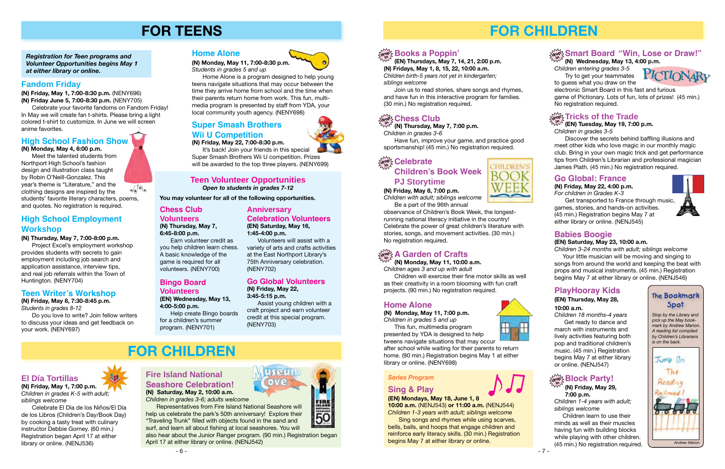

50



#### **Teen Volunteer Opportunities** *Open to students in grades 7-12*

*Registration for Teen programs and Volunteer Opportunities begins May 1 at either library or online.*

### **FOR TEENS**

**You may volunteer for all of the following opportunities.**

#### **Teen Writer's Workshop**

**(N) Friday, May 8, 7:30-8:45 p.m.** *Students in grades 8-12*

Do you love to write? Join fellow writers to discuss your ideas and get feedback on your work. [\(NENY697](http://alpha2.suffolk.lib.ny.us/search/?searchtype=X&SORT=D&searcharg=neny697&searchscope=43))

Celebrate your favorite fandoms on Fandom Friday! In May we will create fan t-shirts. Please bring a light colored t-shirt to customize. In June we will screen<br>anime favorites



#### **Super Smash Brothers Wii U Competition**

Volunteers will assist with a variety of arts and crafts activities at the East Northport Library's 75th Anniversary celebration. ([NENY702](http://alpha2.suffolk.lib.ny.us/search/?searchtype=X&SORT=D&searcharg=neny702&searchscope=43))

It's back! Join your friends in this special Super Smash Brothers Wii U competition. Prizes will be awarded to the top three players. [\(NENY699](http://alpha2.suffolk.lib.ny.us/search/?searchtype=X&SORT=D&searcharg=neny699&searchscope=43))

#### **Go Global Volunteers**

**(N) Friday, May 22, 3:45-5:15 p.m.**

Assist young children with a craft project and earn volunteer credit at this special program. ([NENY703](http://alpha2.suffolk.lib.ny.us/search/?searchtype=X&SORT=D&searcharg=neny703&searchscope=43))

#### **Fandom Friday**

**(N) Friday, May 1, 7:00-8:30 p.m.** [\(NENY696\)](http://alpha2.suffolk.lib.ny.us/search/?searchtype=X&SORT=D&searcharg=neny696&searchscope=43) **(N) Friday June 5, 7:00-8:30 p.m.** [\(NENY705\)](http://alpha2.suffolk.lib.ny.us/search/?searchtype=X&SORT=D&searcharg=neny705&searchscope=43)

**(N) Friday, May 22, 7:00-8:30 p.m.**

# **FOR CHILDREN**

#### **Home Alone**

**(N) Monday, May 11, 7:00-8:30 p.m.** *Students in grades 5 and up*

Home Alone is a program designed to help young teens navigate situations that may occur between the time they arrive home from school and the time when their parents return home from work. This fun, multimedia program is presented by staff from YDA, your local community youth agency. ([NENY698](http://alpha2.suffolk.lib.ny.us/search/?searchtype=X&SORT=D&searcharg=neny698&searchscope=43))

#### **High School Employment Workshop**

**(N) Thursday, May 7, 7:00-8:00 p.m.**

Project Excel's employment workshop provides students with secrets to gain employment including job search and application assistance, interview tips, and real job referrals within the Town of Huntington. ([NENY704](http://alpha2.suffolk.lib.ny.us/search/?searchtype=X&SORT=D&searcharg=neny704&searchscope=43))

#### **Fire Island National Seashore Celebration! (N) Saturday, May 2, 10:00 a.m.**

*Children in grades 3-6; adults welcome*

Representatives from Fire Island National Seashore will help us celebrate the park's 50th anniversary! Explore their "Traveling Trunk" filled with objects found in the sand and surf, and learn all about fishing at local seashores. You will

also hear about the Junior Ranger program. (90 min.) Registration began April 17 at either library or online. [\(NENJ542](http://alpha2.suffolk.lib.ny.us/search/?searchtype=X&SORT=D&searcharg=nenj541&searchscope=43))

**El Día Tortillas**

**(N) Friday, May 1, 7:00 p.m.** *Children in grades K-5 with adult;* 

*siblings welcome* 

Celebrate El Día de los Niños/El Día de los Libros (Children's Day/Book Day) by cooking a tasty treat with culinary instructor Debbie Gorney. (60 min.) Registration began April 17 at either

Get transported to France through music, games, stories, and hands-on activities. (45 min.) Registration begins May 7 at either library or online. ([NENJ545](http://alpha2.suffolk.lib.ny.us/search/?searchtype=X&SORT=D&searcharg=nenj545&searchscope=43))

library or online. ([NENJ536](http://alpha2.suffolk.lib.ny.us/search/?searchtype=X&SORT=D&searcharg=nenj536&searchscope=43))

#### **Chess Club Volunteers**

**(N) Thursday, May 7, 6:45-8:00 p.m.**

Earn volunteer credit as you help children learn chess. A basic knowledge of the

game is required for all volunteers. [\(NENY700](http://alpha2.suffolk.lib.ny.us/search/?searchtype=X&SORT=D&searcharg=neny700&searchscope=43))

#### **Bingo Board Volunteers**

**(EN) Wednesday, May 13, 4:00-5:00 p.m.**

Help create Bingo boards for a children's summer program. ([NENY701\)](http://alpha2.suffolk.lib.ny.us/search/?searchtype=X&SORT=D&searcharg=neny701&searchscope=43)

#### **High School Fashion Show**

**(N) Monday, May 4, 6:00 p.m.**

Meet the talented students from Northport High School's fashion design and illustration class taught by Robin O'Neill-Gonzalez. This year's theme is "Literature," and the  $\sqrt{\theta}$ clothing designs are inspired by the students' favorite literary characters, poems, and quotes. No registration is required.

**in**

- 7 -

# **FOR CHILDREN**

### $\frac{\text{deg}^2}{\text{deg}^2}$ Smart Board "Win, Lose or Draw!"

**(EN) Thursdays, May 7, 14, 21, 2:00 p.m.**

તિજંૂે Block Party! **(N) Friday, May 29, 7:00 p.m. in**

**(N) Fridays, May 1, 8, 15, 22, 10:00 a.m.** *Children birth-5 years not yet in kindergarten;*

**drop Chess Club** 

*siblings welcome*

 $\frac{d}{d\mathbf{v}}$   $\frac{d}{d\mathbf{v}}$  Books a Poppin'

Join us to read stories, share songs and rhymes, and have fun in this interactive program for families.

(30 min.) No registration required.

**(N) Thursday, May 7, 7:00 p.m.**

*Children in grades 3-6*

Have fun, improve your game, and practice good

sportsmanship! (45 min.) No registration required.

### **The Bookmark Spot**

*Stop by the Library and pick up the May bookmark by Andrew Marion. A reading list compiled by Children's Librarians is on the back.*





**(N) Monday, May 11, 10:00 a.m.** *Children ages 3 and up with adult*

Children will exercise their fine motor skills as well as their creativity in a room blooming with fun craft projects. (90 min.) No registration required.

> *Children 1-4 years with adult; siblings welcome*

 Children learn to use their minds as well as their muscles having fun with building blocks while playing with other children. (45 min.) No registration required.

#### **PlayHooray Kids**

#### **(EN) Thursday, May 28, 10:00 a.m.**

*Children 18 months-4 years* Get ready to dance and march with instruments and lively activities featuring both pop and traditional children's music. (45 min.) Registration begins May 7 at either library or online. ([NENJ547](http://alpha2.suffolk.lib.ny.us/search/?searchtype=X&SORT=D&searcharg=nenj547&searchscope=43))

#### **Babies Boogie**

#### **(EN) Saturday, May 23, 10:00 a.m.**

*Children 3-24 months with adult; siblings welcome* Your little musician will be moving and singing to songs from around the world and keeping the beat with props and musical instruments. (45 min.) Registration begins May 7 at either library or online. ([NENJ546](http://alpha2.suffolk.lib.ny.us/search/?searchtype=X&SORT=D&searcharg=nenj546&searchscope=43))

**drop in Celebrate** 

#### **Go Global: France**

**(N) Friday, May 22, 4:00 p.m.**  *For children in Grades K-3*

*Children in grades 3-5*

Discover the secrets behind baffling illusions and meet other kids who love magic in our monthly magic club. Bring in your own magic trick and get performance tips from Children's Librarian and professional magician James Plath. (45 min.) No registration required.

#### **(N) Wednesday, May 13, 4:00 p.m.**

*Children entering grades 3-5* Try to get your teammates to guess what you draw on the

electronic Smart Board in this fast and furious game of Pictionary. Lots of fun, lots of prizes! (45 min.) No registration required.

#### $\frac{1}{\alpha! \alpha!}$  Tricks of the Trade

#### **Home Alone**

**(N) Monday, May 11, 7:00 p.m.** *Children in grades 5 and up* This fun, multimedia program



presented by YDA is designed to help tweens navigate situations that may occur after school while waiting for their parents to return home. (90 min.) Registration begins May 1 at either library or online. ([NENY698\)](http://alpha2.suffolk.lib.ny.us/search/?searchtype=X&SORT=D&searcharg=neny698&searchscope=43)

#### **(EN) Tuesday, May 19, 7:00 p.m. in**

#### **Sing & Play**

**(EN) Mondays, May 18, June 1, 8 10:00 a.m.** ([NENJ543](http://alpha2.suffolk.lib.ny.us/search/?searchtype=X&SORT=D&searcharg=nenj543&searchscope=43)) **or 11:00 a.m.** ([NENJ544](http://alpha2.suffolk.lib.ny.us/search/?searchtype=X&SORT=D&searcharg=nenj544&searchscope=43))

*Children 1-3 years with adult; siblings welcome*

Sing songs and rhymes while using scarves, bells, balls, and hoops that engage children and reinforce early literacy skills. (30 min.) Registration begins May 7 at either library or online.









**CHILDREN'S** 



#### *Series Program*

**Children's Book Week PJ Storytime**

#### **(N) Friday, May 8, 7:00 p.m.**

*Children with adult; siblings welcome* Be a part of the 96th annual

observance of Children's Book Week, the longestrunning national literacy initiative in the country! Celebrate the power of great children's literature with stories, songs, and movement activities. (30 min.) No registration required.

### $\frac{d^2\mathbf{d}}{d\mathbf{d}}$  & Garden of Crafts